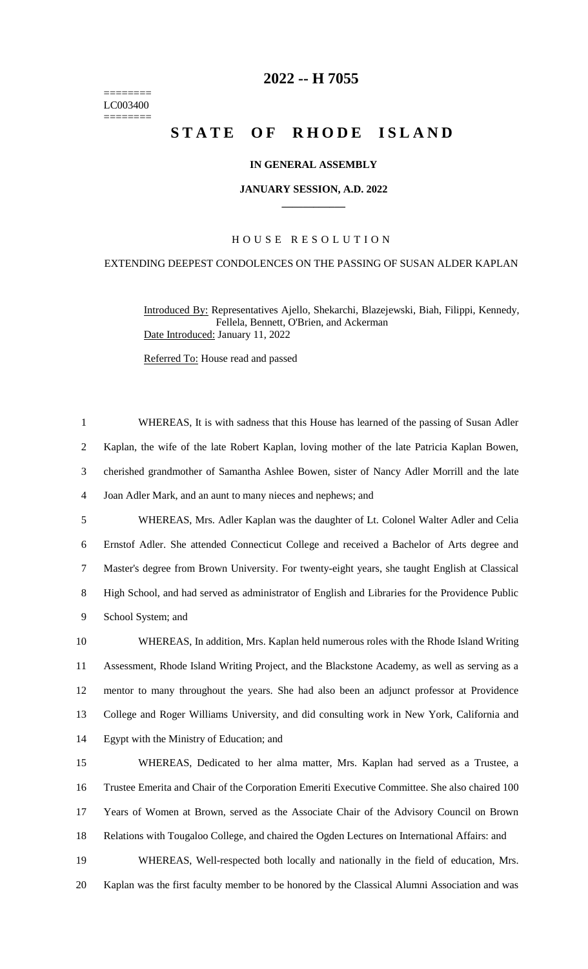======== LC003400 ========

# **-- H 7055**

# **STATE OF RHODE ISLAND**

## **IN GENERAL ASSEMBLY**

#### **JANUARY SESSION, A.D. 2022 \_\_\_\_\_\_\_\_\_\_\_\_**

# H O U S E R E S O L U T I O N

## EXTENDING DEEPEST CONDOLENCES ON THE PASSING OF SUSAN ALDER KAPLAN

Introduced By: Representatives Ajello, Shekarchi, Blazejewski, Biah, Filippi, Kennedy, Fellela, Bennett, O'Brien, and Ackerman Date Introduced: January 11, 2022

Referred To: House read and passed

 WHEREAS, It is with sadness that this House has learned of the passing of Susan Adler Kaplan, the wife of the late Robert Kaplan, loving mother of the late Patricia Kaplan Bowen, cherished grandmother of Samantha Ashlee Bowen, sister of Nancy Adler Morrill and the late Joan Adler Mark, and an aunt to many nieces and nephews; and WHEREAS, Mrs. Adler Kaplan was the daughter of Lt. Colonel Walter Adler and Celia Ernstof Adler. She attended Connecticut College and received a Bachelor of Arts degree and Master's degree from Brown University. For twenty-eight years, she taught English at Classical High School, and had served as administrator of English and Libraries for the Providence Public School System; and WHEREAS, In addition, Mrs. Kaplan held numerous roles with the Rhode Island Writing Assessment, Rhode Island Writing Project, and the Blackstone Academy, as well as serving as a mentor to many throughout the years. She had also been an adjunct professor at Providence College and Roger Williams University, and did consulting work in New York, California and Egypt with the Ministry of Education; and WHEREAS, Dedicated to her alma matter, Mrs. Kaplan had served as a Trustee, a Trustee Emerita and Chair of the Corporation Emeriti Executive Committee. She also chaired 100 Years of Women at Brown, served as the Associate Chair of the Advisory Council on Brown Relations with Tougaloo College, and chaired the Ogden Lectures on International Affairs: and

 WHEREAS, Well-respected both locally and nationally in the field of education, Mrs. Kaplan was the first faculty member to be honored by the Classical Alumni Association and was